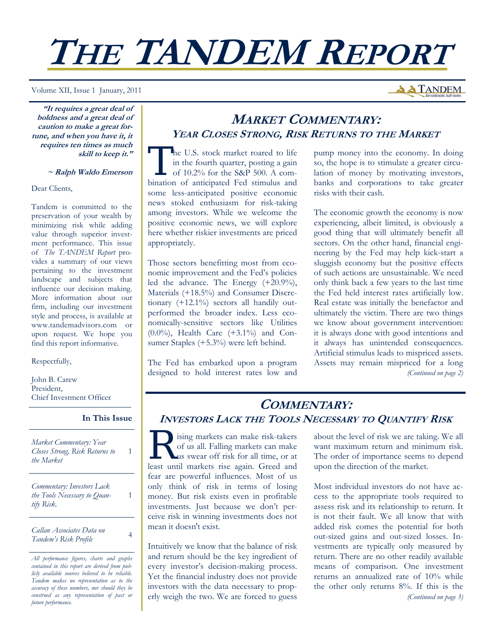# **THE TANDEM REPORT**

Volume XII, Issue 1 January, 2011

**"It requires a great deal of boldness and a great deal of caution to make a great fortune, and when you have it, it requires ten times as much skill to keep it."** 

 **~ Ralph Waldo Emerson**

Dear Clients,

Tandem is committed to the preservation of your wealth by minimizing risk while adding value through superior investment performance. This issue of *The TANDEM Report* provides a summary of our views pertaining to the investment landscape and subjects that influence our decision making. More information about our firm, including our investment style and process, is available at www.tandemadvisors.com or upon request. We hope you find this report informative.

Respectfully,

John B. Carew President, Chief Investment Officer

**In This Issue**

1

1

*Market Commentary: Year Closes Strong, Risk Returns to the Market* 

*Commentary: Investors Lack the Tools Necessary to Quantify Risk.* 

*Callan Associates Data on Tandem's Risk Profile* <sup>4</sup>

## **MARKET COMMENTARY: YEAR CLOSES STRONG, RISK RETURNS TO THE MARKET**

The U.S. stock market roared to life<br>
in the fourth quarter, posting a gain<br>
of 10.2% for the S&P 500. A comin the fourth quarter, posting a gain bination of anticipated Fed stimulus and some less-anticipated positive economic news stoked enthusiasm for risk-taking among investors. While we welcome the positive economic news, we will explore here whether riskier investments are priced appropriately.

Those sectors benefitting most from economic improvement and the Fed's policies led the advance. The Energy (+20.9%), Materials (+18.5%) and Consumer Discretionary (+12.1%) sectors all handily outperformed the broader index. Less economically-sensitive sectors like Utilities (0.0%), Health Care (+3.1%) and Consumer Staples (+5.3%) were left behind.

The Fed has embarked upon a program designed to hold interest rates low and pump money into the economy. In doing so, the hope is to stimulate a greater circulation of money by motivating investors, banks and corporations to take greater risks with their cash.

**A TANDEM** 

The economic growth the economy is now experiencing, albeit limited, is obviously a good thing that will ultimately benefit all sectors. On the other hand, financial engineering by the Fed may help kick-start a sluggish economy but the positive effects of such actions are unsustainable. We need only think back a few years to the last time the Fed held interest rates artificially low. Real estate was initially the benefactor and ultimately the victim. There are two things we know about government intervention: it is always done with good intentions and it always has unintended consequences. Artificial stimulus leads to mispriced assets. Assets may remain mispriced for a long *(Continued on page 2)* 

## **COMMENTARY: INVESTORS LACK THE TOOLS NECESSARY TO QUANTIFY RISK**

**R** ising markets can make risk-takers<br>of us all. Falling markets can make<br>us swear off risk for all time, or at<br>least until markets rise again. Greed and of us all. Falling markets can make least until markets rise again. Greed and fear are powerful influences. Most of us only think of risk in terms of losing money. But risk exists even in profitable investments. Just because we don't perceive risk in winning investments does not mean it doesn't exist.

Intuitively we know that the balance of risk and return should be the key ingredient of every investor's decision-making process. Yet the financial industry does not provide investors with the data necessary to properly weigh the two. We are forced to guess about the level of risk we are taking. We all want maximum return and minimum risk. The order of importance seems to depend upon the direction of the market.

Most individual investors do not have access to the appropriate tools required to assess risk and its relationship to return. It is not their fault. We all know that with added risk comes the potential for both out-sized gains and out-sized losses. Investments are typically only measured by return. There are no other readily available means of comparison. One investment returns an annualized rate of 10% while the other only returns 8%. If this is the *(Continued on page 3)* 

*All performance figures, charts and graphs contained in this report are derived from publicly available sources believed to be reliable. Tandem makes no representation as to the accuracy of these numbers, nor should they be construed as any representation of past or future performance.*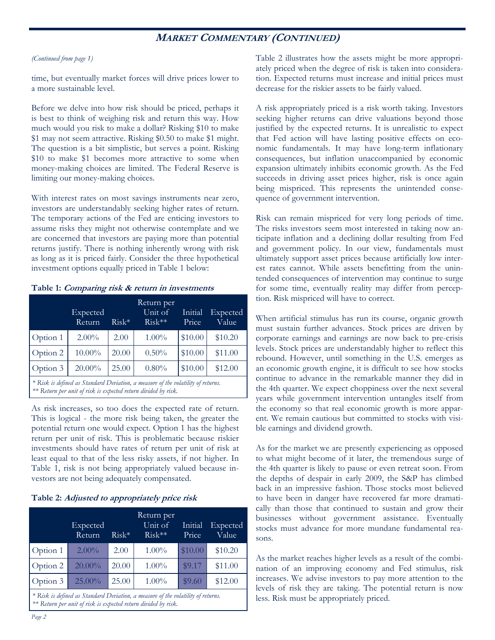## **MARKET COMMENTARY (CONTINUED)**

#### *(Continued from page 1)*

time, but eventually market forces will drive prices lower to a more sustainable level.

Before we delve into how risk should be priced, perhaps it is best to think of weighing risk and return this way. How much would you risk to make a dollar? Risking \$10 to make \$1 may not seem attractive. Risking \$0.50 to make \$1 might. The question is a bit simplistic, but serves a point. Risking \$10 to make \$1 becomes more attractive to some when money-making choices are limited. The Federal Reserve is limiting our money-making choices.

With interest rates on most savings instruments near zero, investors are understandably seeking higher rates of return. The temporary actions of the Fed are enticing investors to assume risks they might not otherwise contemplate and we are concerned that investors are paying more than potential returns justify. There is nothing inherently wrong with risk as long as it is priced fairly. Consider the three hypothetical investment options equally priced in Table 1 below:

|                                                                                                                                                    | Expected<br>Return | $Risk*$ | Return per<br>Unit of<br>$Risk**$ | Initial<br>Price | Expected<br>Value |  |  |
|----------------------------------------------------------------------------------------------------------------------------------------------------|--------------------|---------|-----------------------------------|------------------|-------------------|--|--|
| Option 1                                                                                                                                           | $2.00\%$           | 2.00    | $1.00\%$                          | \$10.00          | \$10.20           |  |  |
| Option 2                                                                                                                                           | $10.00\%$          | 20.00   | $0.50\%$                          | \$10.00          | \$11.00           |  |  |
| Option 3                                                                                                                                           | $20.00\%$          | 25.00   | $0.80\%$                          | \$10.00          | \$12.00           |  |  |
| * Risk is defined as Standard Deviation, a measure of the volatility of returns.<br>** Return per unit of risk is expected return divided by risk. |                    |         |                                   |                  |                   |  |  |

**Table 1: Comparing risk & return in investments** 

As risk increases, so too does the expected rate of return. This is logical - the more risk being taken, the greater the potential return one would expect. Option 1 has the highest return per unit of risk. This is problematic because riskier investments should have rates of return per unit of risk at least equal to that of the less risky assets, if not higher. In Table 1, risk is not being appropriately valued because investors are not being adequately compensated.

#### **Table 2: Adjusted to appropriately price risk**

|                                                                                                                                                    | Expected<br>Return | $Risk*$ | Return per<br>Unit of<br>$Risk***$ | Initial<br>Price | Expected<br>Value |  |  |
|----------------------------------------------------------------------------------------------------------------------------------------------------|--------------------|---------|------------------------------------|------------------|-------------------|--|--|
| Option 1                                                                                                                                           | $2.00\%$           | 2.00    | $1.00\%$                           | \$10.00          | \$10.20           |  |  |
| Option 2                                                                                                                                           | $20.00\%$          | 20.00   | $1.00\%$                           | \$9.17           | \$11.00           |  |  |
| Option 3                                                                                                                                           | 25.00%             | 25.00   | $1.00\%$                           | \$9.60           | \$12.00           |  |  |
| * Risk is defined as Standard Deviation, a measure of the volatility of returns.<br>** Return per unit of risk is expected return divided by risk. |                    |         |                                    |                  |                   |  |  |

Table 2 illustrates how the assets might be more appropriately priced when the degree of risk is taken into consideration. Expected returns must increase and initial prices must decrease for the riskier assets to be fairly valued.

A risk appropriately priced is a risk worth taking. Investors seeking higher returns can drive valuations beyond those justified by the expected returns. It is unrealistic to expect that Fed action will have lasting positive effects on economic fundamentals. It may have long-term inflationary consequences, but inflation unaccompanied by economic expansion ultimately inhibits economic growth. As the Fed succeeds in driving asset prices higher, risk is once again being mispriced. This represents the unintended consequence of government intervention.

Risk can remain mispriced for very long periods of time. The risks investors seem most interested in taking now anticipate inflation and a declining dollar resulting from Fed and government policy. In our view, fundamentals must ultimately support asset prices because artificially low interest rates cannot. While assets benefitting from the unintended consequences of intervention may continue to surge for some time, eventually reality may differ from perception. Risk mispriced will have to correct.

When artificial stimulus has run its course, organic growth must sustain further advances. Stock prices are driven by corporate earnings and earnings are now back to pre-crisis levels. Stock prices are understandably higher to reflect this rebound. However, until something in the U.S. emerges as an economic growth engine, it is difficult to see how stocks continue to advance in the remarkable manner they did in the 4th quarter. We expect choppiness over the next several years while government intervention untangles itself from the economy so that real economic growth is more apparent. We remain cautious but committed to stocks with visible earnings and dividend growth.

As for the market we are presently experiencing as opposed to what might become of it later, the tremendous surge of the 4th quarter is likely to pause or even retreat soon. From the depths of despair in early 2009, the S&P has climbed back in an impressive fashion. Those stocks most believed to have been in danger have recovered far more dramatically than those that continued to sustain and grow their businesses without government assistance. Eventually stocks must advance for more mundane fundamental reasons.

As the market reaches higher levels as a result of the combination of an improving economy and Fed stimulus, risk increases. We advise investors to pay more attention to the levels of risk they are taking. The potential return is now less. Risk must be appropriately priced.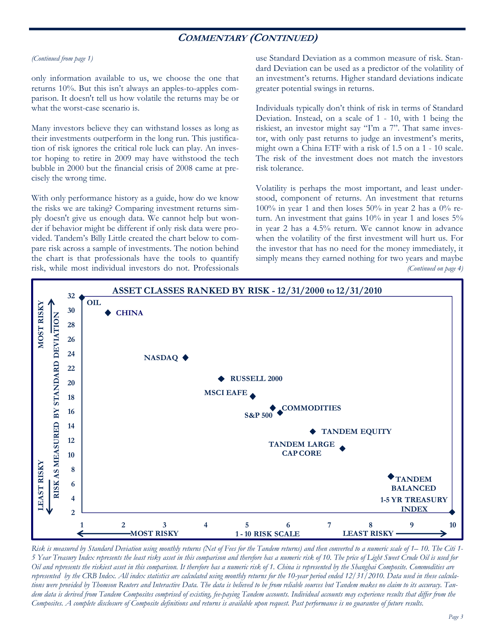## **COMMENTARY (CONTINUED)**

#### *(Continued from page 1)*

only information available to us, we choose the one that returns 10%. But this isn't always an apples-to-apples comparison. It doesn't tell us how volatile the returns may be or what the worst-case scenario is.

Many investors believe they can withstand losses as long as their investments outperform in the long run. This justification of risk ignores the critical role luck can play. An investor hoping to retire in 2009 may have withstood the tech bubble in 2000 but the financial crisis of 2008 came at precisely the wrong time.

With only performance history as a guide, how do we know the risks we are taking? Comparing investment returns simply doesn't give us enough data. We cannot help but wonder if behavior might be different if only risk data were provided. Tandem's Billy Little created the chart below to compare risk across a sample of investments. The notion behind the chart is that professionals have the tools to quantify risk, while most individual investors do not. Professionals use Standard Deviation as a common measure of risk. Standard Deviation can be used as a predictor of the volatility of an investment's returns. Higher standard deviations indicate greater potential swings in returns.

Individuals typically don't think of risk in terms of Standard Deviation. Instead, on a scale of 1 - 10, with 1 being the riskiest, an investor might say "I'm a 7". That same investor, with only past returns to judge an investment's merits, might own a China ETF with a risk of 1.5 on a 1 - 10 scale. The risk of the investment does not match the investors risk tolerance.

Volatility is perhaps the most important, and least understood, component of returns. An investment that returns  $100\%$  in year 1 and then loses 50% in year 2 has a 0% return. An investment that gains 10% in year 1 and loses 5% in year 2 has a 4.5% return. We cannot know in advance when the volatility of the first investment will hurt us. For the investor that has no need for the money immediately, it simply means they earned nothing for two years and maybe *(Continued on page 4)* 



*Risk is measured by Standard Deviation using monthly returns (Net of Fees for the Tandem returns) and then converted to a numeric scale of 1– 10. The Citi 1- 5 Year Treasury Index represents the least risky asset in this comparison and therefore has a numeric risk of 10. The price of Light Sweet Crude Oil is used for Oil and represents the riskiest asset in this comparison. It therefore has a numeric risk of 1. China is represented by the Shanghai Composite. Commodities are represented by the CRB Index. All index statistics are calculated using monthly returns for the 10-year period ended 12/31/2010. Data used in these calculations were provided by Thomson Reuters and Interactive Data. The data is believed to be from reliable sources but Tandem makes no claim to its accuracy. Tandem data is derived from Tandem Composites comprised of existing, fee-paying Tandem accounts. Individual accounts may experience results that differ from the Composites. A complete disclosure of Composite definitions and returns is available upon request. Past performance is no guarantee of future results.*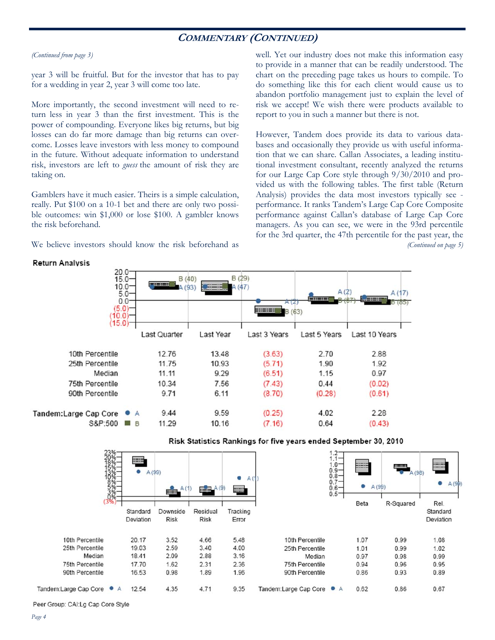## **COMMENTARY (CONTINUED)**

#### *(Continued from page 3)*

year 3 will be fruitful. But for the investor that has to pay for a wedding in year 2, year 3 will come too late.

More importantly, the second investment will need to return less in year 3 than the first investment. This is the power of compounding. Everyone likes big returns, but big losses can do far more damage than big returns can overcome. Losses leave investors with less money to compound in the future. Without adequate information to understand risk, investors are left to *guess* the amount of risk they are taking on.

Gamblers have it much easier. Theirs is a simple calculation, really. Put \$100 on a 10-1 bet and there are only two possible outcomes: win \$1,000 or lose \$100. A gambler knows the risk beforehand.

We believe investors should know the risk beforehand as

well. Yet our industry does not make this information easy to provide in a manner that can be readily understood. The chart on the preceding page takes us hours to compile. To do something like this for each client would cause us to abandon portfolio management just to explain the level of risk we accept! We wish there were products available to report to you in such a manner but there is not.

However, Tandem does provide its data to various databases and occasionally they provide us with useful information that we can share. Callan Associates, a leading institutional investment consultant, recently analyzed the returns for our Large Cap Core style through 9/30/2010 and provided us with the following tables. The first table (Return Analysis) provides the data most investors typically see performance. It ranks Tandem's Large Cap Core Composite performance against Callan's database of Large Cap Core managers. As you can see, we were in the 93rd percentile for the 3rd quarter, the 47th percentile for the past year, the *(Continued on page 5)* 





#### Risk Statistics Rankings for five years ended September 30, 2010

Peer Group: CAI:Lg Cap Core Style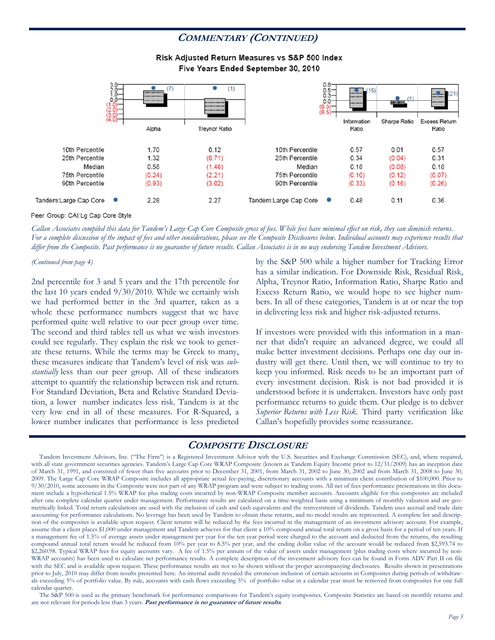## **COMMENTARY (CONTINUED)**

#### Risk Adjusted Return Measures vs S&P 500 Index Five Years Ended September 30, 2010



#### Peer Group: CAI:Lg Cap Core Style

*Callan Associates compiled this data for Tandem's Large Cap Core Composite gross of fees. While fees have minimal effect on risk, they can diminish returns. For a complete discussion of the impact of fees and other considerations, please see the Composite Disclosures below. Individual accounts may experience results that differ from the Composite. Past performance is no guarantee of future results. Callan Associates is in no way endorsing Tandem Investment Advisors.* 

#### *(Continued from page 4)*

2nd percentile for 3 and 5 years and the 17th percentile for the last 10 years ended 9/30/2010. While we certainly wish we had performed better in the 3rd quarter, taken as a whole these performance numbers suggest that we have performed quite well relative to our peer group over time. The second and third tables tell us what we wish investors could see regularly. They explain the risk we took to generate these returns. While the terms may be Greek to many, these measures indicate that Tandem's level of risk was *substantially* less than our peer group. All of these indicators attempt to quantify the relationship between risk and return. For Standard Deviation, Beta and Relative Standard Deviation, a lower number indicates less risk. Tandem is at the very low end in all of these measures. For R-Squared, a lower number indicates that performance is less predicted

by the S&P 500 while a higher number for Tracking Error has a similar indication. For Downside Risk, Residual Risk, Alpha, Treynor Ratio, Information Ratio, Sharpe Ratio and Excess Return Ratio, we would hope to see higher numbers. In all of these categories, Tandem is at or near the top in delivering less risk and higher risk-adjusted returns.

If investors were provided with this information in a manner that didn't require an advanced degree, we could all make better investment decisions. Perhaps one day our industry will get there. Until then, we will continue to try to keep you informed. Risk needs to be an important part of every investment decision. Risk is not bad provided it is understood before it is undertaken. Investors have only past performance returns to guide them. Our pledge is to deliver *Superior Returns with Less Risk*. Third party verification like Callan's hopefully provides some reassurance.

### **COMPOSITE DISCLOSURE**

 Tandem Investment Advisors, Inc. ("The Firm") is a Registered Investment Advisor with the U.S. Securities and Exchange Commission (SEC), and, where required, with all state government securities agencies. Tandem's Large Cap Core WRAP Composite (known as Tandem Equity Income prior to 12/31/2009) has an inception date of March 31, 1991, and consisted of fewer than five accounts prior to December 31, 2001, from March 31, 2002 to June 30, 2002 and from March 31, 2008 to June 30, 2009. The Large Cap Core WRAP Composite includes all appropriate actual fee-paying, discretionary accounts with a minimum client contribution of \$100,000. Prior to 9/30/2010, some accounts in the Composite were not part of any WRAP program and were subject to trading costs. All net of fees performance presentations in this document include a hypothetical 1.5% WRAP fee plus trading costs incurred by non-WRAP Composite member accounts. Accounts eligible for this composites are included after one complete calendar quarter under management. Performance results are calculated on a time-weighted basis using a minimum of monthly valuation and are geometrically linked. Total return calculations are used with the inclusion of cash and cash equivalents and the reinvestment of dividends. Tandem uses accrual and trade date accounting for performance calculations. No leverage has been used by Tandem to obtain these returns, and no model results are represented. A complete list and description of the composites is available upon request. Client returns will be reduced by the fees incurred in the management of an investment advisory account. For example, assume that a client places \$1,000 under management and Tandem achieves for that client a 10% compound annual total return on a gross basis for a period of ten years. If a management fee of 1.5% of average assets under management per year for the ten year period were charged to the account and deducted from the returns, the resulting compound annual total return would be reduced from 10% per year to 8.5% per year, and the ending dollar value of the account would be reduced from \$2,593.74 to \$2,260.98. Typical WRAP fees for equity accounts vary. A fee of 1.5% per annum of the value of assets under management (plus trading costs where incurred by non-WRAP accounts) has been used to calculate net performance results. A complete description of the investment advisory fees can be found in Form ADV Part II on file with the SEC and is available upon request. These performance results are not to be shown without the proper accompanying disclosures. Results shown in presentations prior to July, 2010 may differ from results presented here. An internal audit revealed the erroneous inclusion of certain accounts in Composites during periods of withdrawals exceeding 5% of portfolio value. By rule, accounts with cash flows exceeding 5% of portfolio value in a calendar year must be removed from composites for one full calendar quarter.

 The S&P 500 is used as the primary benchmark for performance comparisons for Tandem's equity composites. Composite Statistics are based on monthly returns and are not relevant for periods less than 3 years. **Past performance is no guarantee of future results**.